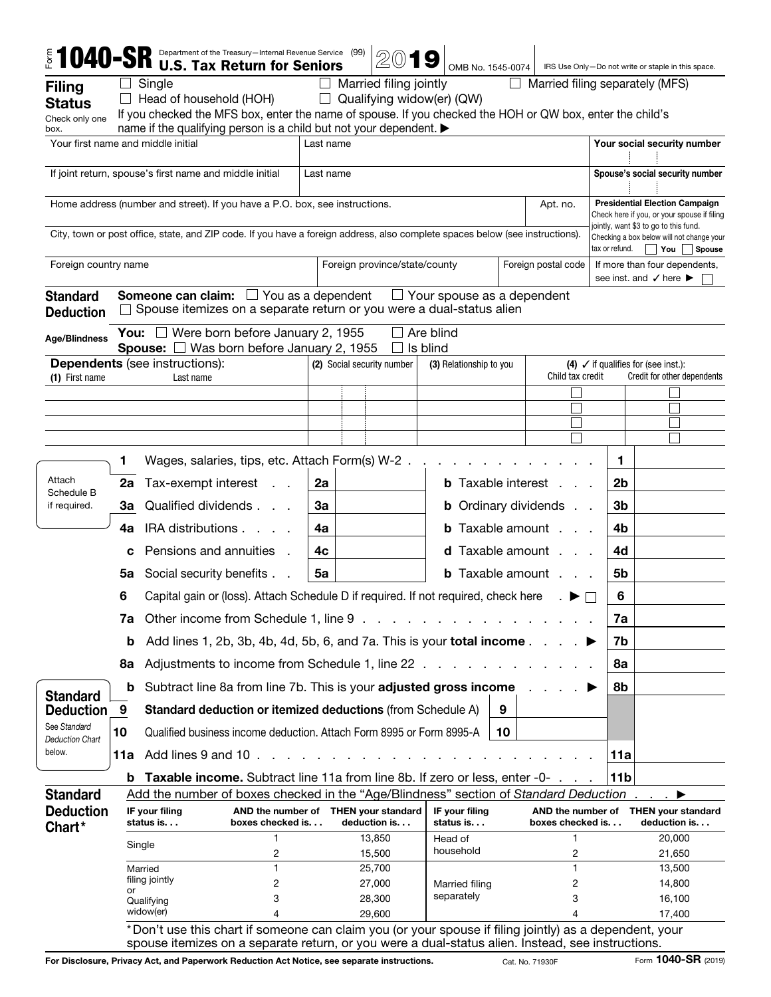| Married filing jointly<br>Single<br>Married filing separately (MFS)<br><b>Filing</b><br>Qualifying widow(er) (QW)<br>Head of household (HOH)<br>$\Box$<br>If you checked the MFS box, enter the name of spouse. If you checked the HOH or QW box, enter the child's<br>Check only one<br>name if the qualifying person is a child but not your dependent. ▶<br>box.<br>Your first name and middle initial<br>Your social security number<br>Last name<br>If joint return, spouse's first name and middle initial<br>Spouse's social security number<br>Last name<br>Home address (number and street). If you have a P.O. box, see instructions.<br>Apt. no.<br>jointly, want \$3 to go to this fund.<br>City, town or post office, state, and ZIP code. If you have a foreign address, also complete spaces below (see instructions).<br>Checking a box below will not change your<br>tax or refund.<br>$ $ You<br>Foreign postal code<br>Foreign country name<br>Foreign province/state/county<br>see inst. and $\checkmark$ here $\blacktriangleright$<br><b>Someone can claim:</b> $\Box$ You as a dependent<br><b>Standard</b><br>$\Box$ Your spouse as a dependent<br>Spouse itemizes on a separate return or you were a dual-status alien<br><b>Deduction</b><br><b>You:</b> $\Box$ Were born before January 2, 1955<br>Are blind<br><b>Age/Blindness</b><br><b>Spouse:</b> $\Box$ Was born before January 2, 1955<br>Is blind<br><b>Dependents</b> (see instructions):<br>(2) Social security number<br>(3) Relationship to you<br>(4) $\checkmark$ if qualifies for (see inst.):<br>Child tax credit<br>Credit for other dependents<br>(1) First name<br>Last name<br>Wages, salaries, tips, etc. Attach Form(s) W-2.<br>1<br>1<br>Attach<br>Tax-exempt interest<br><b>b</b> Taxable interest.<br>2 <sub>b</sub><br>2a<br>2a<br>Schedule B<br>Qualified dividends<br>3a<br><b>b</b> Ordinary dividends<br>3 <sub>b</sub><br>if required.<br>За<br>IRA distributions<br><b>b</b> Taxable amount<br>4b<br>4a<br>4a<br>Pensions and annuities.<br><b>d</b> Taxable amount<br>4c<br>4d<br>c<br><b>b</b> Taxable amount<br><b>5a</b> Social security benefits<br>5a<br>5b<br>Capital gain or (loss). Attach Schedule D if required. If not required, check here<br>6<br>6<br>Other income from Schedule 1, line 9.<br>7a<br>7a<br>Add lines 1, 2b, 3b, 4b, 4d, 5b, 6, and 7a. This is your total income.<br>7b<br>b<br>Adjustments to income from Schedule 1, line 22 .<br>8a<br>8а<br>Subtract line 8a from line 7b. This is your adjusted gross income<br>8b<br>b<br><b>Standard</b><br>Standard deduction or itemized deductions (from Schedule A)<br>9<br>9<br><b>Deduction</b><br>See Standard<br>10<br>Qualified business income deduction. Attach Form 8995 or Form 8995-A<br>10<br><b>Deduction Chart</b><br>below.<br>Add lines 9 and 10.<br>11a<br>11a<br><b>Taxable income.</b> Subtract line 11a from line 8b. If zero or less, enter -0-<br>11b<br>b<br>Add the number of boxes checked in the "Age/Blindness" section of Standard Deduction<br><b>Standard</b><br><b>Deduction</b><br>AND the number of THEN your standard<br>IF your filing<br>IF your filing<br>AND the number of THEN your standard<br>deduction is<br>boxes checked is.<br>deduction is<br>status is.<br>boxes checked is.<br>status is<br>Chart*<br>13,850<br>1<br>20,000<br>Head of<br>Single<br>household<br>2<br>2<br>15,500<br>21,650<br>$\mathbf{1}$<br>25,700<br>13,500<br>Married<br>filing jointly<br>2<br>27,000<br>2<br>14,800<br>Married filing<br>or<br>separately<br>3<br>3<br>28,300<br>16,100<br>Qualifying<br>widow(er)<br>29,600<br>4<br>17,400<br>4<br>*Don't use this chart if someone can claim you (or your spouse if filing jointly) as a dependent, your |               |  |  | $5.5$ 1040–SR Department of the Treasury-Internal Revenue Service (99)<br><b>U.S. Tax Return for Seniors</b> |  |  | 2019 |  | OMB No. 1545-0074 |  |  |  |                               | IRS Use Only-Do not write or staple in this space.                                   |        |
|-----------------------------------------------------------------------------------------------------------------------------------------------------------------------------------------------------------------------------------------------------------------------------------------------------------------------------------------------------------------------------------------------------------------------------------------------------------------------------------------------------------------------------------------------------------------------------------------------------------------------------------------------------------------------------------------------------------------------------------------------------------------------------------------------------------------------------------------------------------------------------------------------------------------------------------------------------------------------------------------------------------------------------------------------------------------------------------------------------------------------------------------------------------------------------------------------------------------------------------------------------------------------------------------------------------------------------------------------------------------------------------------------------------------------------------------------------------------------------------------------------------------------------------------------------------------------------------------------------------------------------------------------------------------------------------------------------------------------------------------------------------------------------------------------------------------------------------------------------------------------------------------------------------------------------------------------------------------------------------------------------------------------------------------------------------------------------------------------------------------------------------------------------------------------------------------------------------------------------------------------------------------------------------------------------------------------------------------------------------------------------------------------------------------------------------------------------------------------------------------------------------------------------------------------------------------------------------------------------------------------------------------------------------------------------------------------------------------------------------------------------------------------------------------------------------------------------------------------------------------------------------------------------------------------------------------------------------------------------------------------------------------------------------------------------------------------------------------------------------------------------------------------------------------------------------------------------------------------------------------------------------------------------------------------------------------------------------------------------------------------------------------------------------------------------------------------------------------------------------------------------------------------------------------------------------------------------------------------------------------------------------------------------------------------------------------------------------------------------------------------------------------------|---------------|--|--|--------------------------------------------------------------------------------------------------------------|--|--|------|--|-------------------|--|--|--|-------------------------------|--------------------------------------------------------------------------------------|--------|
|                                                                                                                                                                                                                                                                                                                                                                                                                                                                                                                                                                                                                                                                                                                                                                                                                                                                                                                                                                                                                                                                                                                                                                                                                                                                                                                                                                                                                                                                                                                                                                                                                                                                                                                                                                                                                                                                                                                                                                                                                                                                                                                                                                                                                                                                                                                                                                                                                                                                                                                                                                                                                                                                                                                                                                                                                                                                                                                                                                                                                                                                                                                                                                                                                                                                                                                                                                                                                                                                                                                                                                                                                                                                                                                                                                       |               |  |  |                                                                                                              |  |  |      |  |                   |  |  |  |                               |                                                                                      |        |
|                                                                                                                                                                                                                                                                                                                                                                                                                                                                                                                                                                                                                                                                                                                                                                                                                                                                                                                                                                                                                                                                                                                                                                                                                                                                                                                                                                                                                                                                                                                                                                                                                                                                                                                                                                                                                                                                                                                                                                                                                                                                                                                                                                                                                                                                                                                                                                                                                                                                                                                                                                                                                                                                                                                                                                                                                                                                                                                                                                                                                                                                                                                                                                                                                                                                                                                                                                                                                                                                                                                                                                                                                                                                                                                                                                       | <b>Status</b> |  |  |                                                                                                              |  |  |      |  |                   |  |  |  |                               |                                                                                      |        |
|                                                                                                                                                                                                                                                                                                                                                                                                                                                                                                                                                                                                                                                                                                                                                                                                                                                                                                                                                                                                                                                                                                                                                                                                                                                                                                                                                                                                                                                                                                                                                                                                                                                                                                                                                                                                                                                                                                                                                                                                                                                                                                                                                                                                                                                                                                                                                                                                                                                                                                                                                                                                                                                                                                                                                                                                                                                                                                                                                                                                                                                                                                                                                                                                                                                                                                                                                                                                                                                                                                                                                                                                                                                                                                                                                                       |               |  |  |                                                                                                              |  |  |      |  |                   |  |  |  |                               |                                                                                      |        |
|                                                                                                                                                                                                                                                                                                                                                                                                                                                                                                                                                                                                                                                                                                                                                                                                                                                                                                                                                                                                                                                                                                                                                                                                                                                                                                                                                                                                                                                                                                                                                                                                                                                                                                                                                                                                                                                                                                                                                                                                                                                                                                                                                                                                                                                                                                                                                                                                                                                                                                                                                                                                                                                                                                                                                                                                                                                                                                                                                                                                                                                                                                                                                                                                                                                                                                                                                                                                                                                                                                                                                                                                                                                                                                                                                                       |               |  |  |                                                                                                              |  |  |      |  |                   |  |  |  |                               |                                                                                      |        |
|                                                                                                                                                                                                                                                                                                                                                                                                                                                                                                                                                                                                                                                                                                                                                                                                                                                                                                                                                                                                                                                                                                                                                                                                                                                                                                                                                                                                                                                                                                                                                                                                                                                                                                                                                                                                                                                                                                                                                                                                                                                                                                                                                                                                                                                                                                                                                                                                                                                                                                                                                                                                                                                                                                                                                                                                                                                                                                                                                                                                                                                                                                                                                                                                                                                                                                                                                                                                                                                                                                                                                                                                                                                                                                                                                                       |               |  |  |                                                                                                              |  |  |      |  |                   |  |  |  |                               |                                                                                      |        |
|                                                                                                                                                                                                                                                                                                                                                                                                                                                                                                                                                                                                                                                                                                                                                                                                                                                                                                                                                                                                                                                                                                                                                                                                                                                                                                                                                                                                                                                                                                                                                                                                                                                                                                                                                                                                                                                                                                                                                                                                                                                                                                                                                                                                                                                                                                                                                                                                                                                                                                                                                                                                                                                                                                                                                                                                                                                                                                                                                                                                                                                                                                                                                                                                                                                                                                                                                                                                                                                                                                                                                                                                                                                                                                                                                                       |               |  |  |                                                                                                              |  |  |      |  |                   |  |  |  |                               | <b>Presidential Election Campaign</b><br>Check here if you, or your spouse if filing |        |
|                                                                                                                                                                                                                                                                                                                                                                                                                                                                                                                                                                                                                                                                                                                                                                                                                                                                                                                                                                                                                                                                                                                                                                                                                                                                                                                                                                                                                                                                                                                                                                                                                                                                                                                                                                                                                                                                                                                                                                                                                                                                                                                                                                                                                                                                                                                                                                                                                                                                                                                                                                                                                                                                                                                                                                                                                                                                                                                                                                                                                                                                                                                                                                                                                                                                                                                                                                                                                                                                                                                                                                                                                                                                                                                                                                       |               |  |  |                                                                                                              |  |  |      |  |                   |  |  |  |                               |                                                                                      | Spouse |
|                                                                                                                                                                                                                                                                                                                                                                                                                                                                                                                                                                                                                                                                                                                                                                                                                                                                                                                                                                                                                                                                                                                                                                                                                                                                                                                                                                                                                                                                                                                                                                                                                                                                                                                                                                                                                                                                                                                                                                                                                                                                                                                                                                                                                                                                                                                                                                                                                                                                                                                                                                                                                                                                                                                                                                                                                                                                                                                                                                                                                                                                                                                                                                                                                                                                                                                                                                                                                                                                                                                                                                                                                                                                                                                                                                       |               |  |  |                                                                                                              |  |  |      |  |                   |  |  |  | If more than four dependents, |                                                                                      |        |
|                                                                                                                                                                                                                                                                                                                                                                                                                                                                                                                                                                                                                                                                                                                                                                                                                                                                                                                                                                                                                                                                                                                                                                                                                                                                                                                                                                                                                                                                                                                                                                                                                                                                                                                                                                                                                                                                                                                                                                                                                                                                                                                                                                                                                                                                                                                                                                                                                                                                                                                                                                                                                                                                                                                                                                                                                                                                                                                                                                                                                                                                                                                                                                                                                                                                                                                                                                                                                                                                                                                                                                                                                                                                                                                                                                       |               |  |  |                                                                                                              |  |  |      |  |                   |  |  |  |                               |                                                                                      |        |
|                                                                                                                                                                                                                                                                                                                                                                                                                                                                                                                                                                                                                                                                                                                                                                                                                                                                                                                                                                                                                                                                                                                                                                                                                                                                                                                                                                                                                                                                                                                                                                                                                                                                                                                                                                                                                                                                                                                                                                                                                                                                                                                                                                                                                                                                                                                                                                                                                                                                                                                                                                                                                                                                                                                                                                                                                                                                                                                                                                                                                                                                                                                                                                                                                                                                                                                                                                                                                                                                                                                                                                                                                                                                                                                                                                       |               |  |  |                                                                                                              |  |  |      |  |                   |  |  |  |                               |                                                                                      |        |
|                                                                                                                                                                                                                                                                                                                                                                                                                                                                                                                                                                                                                                                                                                                                                                                                                                                                                                                                                                                                                                                                                                                                                                                                                                                                                                                                                                                                                                                                                                                                                                                                                                                                                                                                                                                                                                                                                                                                                                                                                                                                                                                                                                                                                                                                                                                                                                                                                                                                                                                                                                                                                                                                                                                                                                                                                                                                                                                                                                                                                                                                                                                                                                                                                                                                                                                                                                                                                                                                                                                                                                                                                                                                                                                                                                       |               |  |  |                                                                                                              |  |  |      |  |                   |  |  |  |                               |                                                                                      |        |
|                                                                                                                                                                                                                                                                                                                                                                                                                                                                                                                                                                                                                                                                                                                                                                                                                                                                                                                                                                                                                                                                                                                                                                                                                                                                                                                                                                                                                                                                                                                                                                                                                                                                                                                                                                                                                                                                                                                                                                                                                                                                                                                                                                                                                                                                                                                                                                                                                                                                                                                                                                                                                                                                                                                                                                                                                                                                                                                                                                                                                                                                                                                                                                                                                                                                                                                                                                                                                                                                                                                                                                                                                                                                                                                                                                       |               |  |  |                                                                                                              |  |  |      |  |                   |  |  |  |                               |                                                                                      |        |
|                                                                                                                                                                                                                                                                                                                                                                                                                                                                                                                                                                                                                                                                                                                                                                                                                                                                                                                                                                                                                                                                                                                                                                                                                                                                                                                                                                                                                                                                                                                                                                                                                                                                                                                                                                                                                                                                                                                                                                                                                                                                                                                                                                                                                                                                                                                                                                                                                                                                                                                                                                                                                                                                                                                                                                                                                                                                                                                                                                                                                                                                                                                                                                                                                                                                                                                                                                                                                                                                                                                                                                                                                                                                                                                                                                       |               |  |  |                                                                                                              |  |  |      |  |                   |  |  |  |                               |                                                                                      |        |
|                                                                                                                                                                                                                                                                                                                                                                                                                                                                                                                                                                                                                                                                                                                                                                                                                                                                                                                                                                                                                                                                                                                                                                                                                                                                                                                                                                                                                                                                                                                                                                                                                                                                                                                                                                                                                                                                                                                                                                                                                                                                                                                                                                                                                                                                                                                                                                                                                                                                                                                                                                                                                                                                                                                                                                                                                                                                                                                                                                                                                                                                                                                                                                                                                                                                                                                                                                                                                                                                                                                                                                                                                                                                                                                                                                       |               |  |  |                                                                                                              |  |  |      |  |                   |  |  |  |                               |                                                                                      |        |
|                                                                                                                                                                                                                                                                                                                                                                                                                                                                                                                                                                                                                                                                                                                                                                                                                                                                                                                                                                                                                                                                                                                                                                                                                                                                                                                                                                                                                                                                                                                                                                                                                                                                                                                                                                                                                                                                                                                                                                                                                                                                                                                                                                                                                                                                                                                                                                                                                                                                                                                                                                                                                                                                                                                                                                                                                                                                                                                                                                                                                                                                                                                                                                                                                                                                                                                                                                                                                                                                                                                                                                                                                                                                                                                                                                       |               |  |  |                                                                                                              |  |  |      |  |                   |  |  |  |                               |                                                                                      |        |
|                                                                                                                                                                                                                                                                                                                                                                                                                                                                                                                                                                                                                                                                                                                                                                                                                                                                                                                                                                                                                                                                                                                                                                                                                                                                                                                                                                                                                                                                                                                                                                                                                                                                                                                                                                                                                                                                                                                                                                                                                                                                                                                                                                                                                                                                                                                                                                                                                                                                                                                                                                                                                                                                                                                                                                                                                                                                                                                                                                                                                                                                                                                                                                                                                                                                                                                                                                                                                                                                                                                                                                                                                                                                                                                                                                       |               |  |  |                                                                                                              |  |  |      |  |                   |  |  |  |                               |                                                                                      |        |
|                                                                                                                                                                                                                                                                                                                                                                                                                                                                                                                                                                                                                                                                                                                                                                                                                                                                                                                                                                                                                                                                                                                                                                                                                                                                                                                                                                                                                                                                                                                                                                                                                                                                                                                                                                                                                                                                                                                                                                                                                                                                                                                                                                                                                                                                                                                                                                                                                                                                                                                                                                                                                                                                                                                                                                                                                                                                                                                                                                                                                                                                                                                                                                                                                                                                                                                                                                                                                                                                                                                                                                                                                                                                                                                                                                       |               |  |  |                                                                                                              |  |  |      |  |                   |  |  |  |                               |                                                                                      |        |
|                                                                                                                                                                                                                                                                                                                                                                                                                                                                                                                                                                                                                                                                                                                                                                                                                                                                                                                                                                                                                                                                                                                                                                                                                                                                                                                                                                                                                                                                                                                                                                                                                                                                                                                                                                                                                                                                                                                                                                                                                                                                                                                                                                                                                                                                                                                                                                                                                                                                                                                                                                                                                                                                                                                                                                                                                                                                                                                                                                                                                                                                                                                                                                                                                                                                                                                                                                                                                                                                                                                                                                                                                                                                                                                                                                       |               |  |  |                                                                                                              |  |  |      |  |                   |  |  |  |                               |                                                                                      |        |
|                                                                                                                                                                                                                                                                                                                                                                                                                                                                                                                                                                                                                                                                                                                                                                                                                                                                                                                                                                                                                                                                                                                                                                                                                                                                                                                                                                                                                                                                                                                                                                                                                                                                                                                                                                                                                                                                                                                                                                                                                                                                                                                                                                                                                                                                                                                                                                                                                                                                                                                                                                                                                                                                                                                                                                                                                                                                                                                                                                                                                                                                                                                                                                                                                                                                                                                                                                                                                                                                                                                                                                                                                                                                                                                                                                       |               |  |  |                                                                                                              |  |  |      |  |                   |  |  |  |                               |                                                                                      |        |
|                                                                                                                                                                                                                                                                                                                                                                                                                                                                                                                                                                                                                                                                                                                                                                                                                                                                                                                                                                                                                                                                                                                                                                                                                                                                                                                                                                                                                                                                                                                                                                                                                                                                                                                                                                                                                                                                                                                                                                                                                                                                                                                                                                                                                                                                                                                                                                                                                                                                                                                                                                                                                                                                                                                                                                                                                                                                                                                                                                                                                                                                                                                                                                                                                                                                                                                                                                                                                                                                                                                                                                                                                                                                                                                                                                       |               |  |  |                                                                                                              |  |  |      |  |                   |  |  |  |                               |                                                                                      |        |
|                                                                                                                                                                                                                                                                                                                                                                                                                                                                                                                                                                                                                                                                                                                                                                                                                                                                                                                                                                                                                                                                                                                                                                                                                                                                                                                                                                                                                                                                                                                                                                                                                                                                                                                                                                                                                                                                                                                                                                                                                                                                                                                                                                                                                                                                                                                                                                                                                                                                                                                                                                                                                                                                                                                                                                                                                                                                                                                                                                                                                                                                                                                                                                                                                                                                                                                                                                                                                                                                                                                                                                                                                                                                                                                                                                       |               |  |  |                                                                                                              |  |  |      |  |                   |  |  |  |                               |                                                                                      |        |
|                                                                                                                                                                                                                                                                                                                                                                                                                                                                                                                                                                                                                                                                                                                                                                                                                                                                                                                                                                                                                                                                                                                                                                                                                                                                                                                                                                                                                                                                                                                                                                                                                                                                                                                                                                                                                                                                                                                                                                                                                                                                                                                                                                                                                                                                                                                                                                                                                                                                                                                                                                                                                                                                                                                                                                                                                                                                                                                                                                                                                                                                                                                                                                                                                                                                                                                                                                                                                                                                                                                                                                                                                                                                                                                                                                       |               |  |  |                                                                                                              |  |  |      |  |                   |  |  |  |                               |                                                                                      |        |
|                                                                                                                                                                                                                                                                                                                                                                                                                                                                                                                                                                                                                                                                                                                                                                                                                                                                                                                                                                                                                                                                                                                                                                                                                                                                                                                                                                                                                                                                                                                                                                                                                                                                                                                                                                                                                                                                                                                                                                                                                                                                                                                                                                                                                                                                                                                                                                                                                                                                                                                                                                                                                                                                                                                                                                                                                                                                                                                                                                                                                                                                                                                                                                                                                                                                                                                                                                                                                                                                                                                                                                                                                                                                                                                                                                       |               |  |  |                                                                                                              |  |  |      |  |                   |  |  |  |                               |                                                                                      |        |
|                                                                                                                                                                                                                                                                                                                                                                                                                                                                                                                                                                                                                                                                                                                                                                                                                                                                                                                                                                                                                                                                                                                                                                                                                                                                                                                                                                                                                                                                                                                                                                                                                                                                                                                                                                                                                                                                                                                                                                                                                                                                                                                                                                                                                                                                                                                                                                                                                                                                                                                                                                                                                                                                                                                                                                                                                                                                                                                                                                                                                                                                                                                                                                                                                                                                                                                                                                                                                                                                                                                                                                                                                                                                                                                                                                       |               |  |  |                                                                                                              |  |  |      |  |                   |  |  |  |                               |                                                                                      |        |
|                                                                                                                                                                                                                                                                                                                                                                                                                                                                                                                                                                                                                                                                                                                                                                                                                                                                                                                                                                                                                                                                                                                                                                                                                                                                                                                                                                                                                                                                                                                                                                                                                                                                                                                                                                                                                                                                                                                                                                                                                                                                                                                                                                                                                                                                                                                                                                                                                                                                                                                                                                                                                                                                                                                                                                                                                                                                                                                                                                                                                                                                                                                                                                                                                                                                                                                                                                                                                                                                                                                                                                                                                                                                                                                                                                       |               |  |  |                                                                                                              |  |  |      |  |                   |  |  |  |                               |                                                                                      |        |
|                                                                                                                                                                                                                                                                                                                                                                                                                                                                                                                                                                                                                                                                                                                                                                                                                                                                                                                                                                                                                                                                                                                                                                                                                                                                                                                                                                                                                                                                                                                                                                                                                                                                                                                                                                                                                                                                                                                                                                                                                                                                                                                                                                                                                                                                                                                                                                                                                                                                                                                                                                                                                                                                                                                                                                                                                                                                                                                                                                                                                                                                                                                                                                                                                                                                                                                                                                                                                                                                                                                                                                                                                                                                                                                                                                       |               |  |  |                                                                                                              |  |  |      |  |                   |  |  |  |                               |                                                                                      |        |
|                                                                                                                                                                                                                                                                                                                                                                                                                                                                                                                                                                                                                                                                                                                                                                                                                                                                                                                                                                                                                                                                                                                                                                                                                                                                                                                                                                                                                                                                                                                                                                                                                                                                                                                                                                                                                                                                                                                                                                                                                                                                                                                                                                                                                                                                                                                                                                                                                                                                                                                                                                                                                                                                                                                                                                                                                                                                                                                                                                                                                                                                                                                                                                                                                                                                                                                                                                                                                                                                                                                                                                                                                                                                                                                                                                       |               |  |  |                                                                                                              |  |  |      |  |                   |  |  |  |                               |                                                                                      |        |
|                                                                                                                                                                                                                                                                                                                                                                                                                                                                                                                                                                                                                                                                                                                                                                                                                                                                                                                                                                                                                                                                                                                                                                                                                                                                                                                                                                                                                                                                                                                                                                                                                                                                                                                                                                                                                                                                                                                                                                                                                                                                                                                                                                                                                                                                                                                                                                                                                                                                                                                                                                                                                                                                                                                                                                                                                                                                                                                                                                                                                                                                                                                                                                                                                                                                                                                                                                                                                                                                                                                                                                                                                                                                                                                                                                       |               |  |  |                                                                                                              |  |  |      |  |                   |  |  |  |                               |                                                                                      |        |
|                                                                                                                                                                                                                                                                                                                                                                                                                                                                                                                                                                                                                                                                                                                                                                                                                                                                                                                                                                                                                                                                                                                                                                                                                                                                                                                                                                                                                                                                                                                                                                                                                                                                                                                                                                                                                                                                                                                                                                                                                                                                                                                                                                                                                                                                                                                                                                                                                                                                                                                                                                                                                                                                                                                                                                                                                                                                                                                                                                                                                                                                                                                                                                                                                                                                                                                                                                                                                                                                                                                                                                                                                                                                                                                                                                       |               |  |  |                                                                                                              |  |  |      |  |                   |  |  |  |                               |                                                                                      |        |
|                                                                                                                                                                                                                                                                                                                                                                                                                                                                                                                                                                                                                                                                                                                                                                                                                                                                                                                                                                                                                                                                                                                                                                                                                                                                                                                                                                                                                                                                                                                                                                                                                                                                                                                                                                                                                                                                                                                                                                                                                                                                                                                                                                                                                                                                                                                                                                                                                                                                                                                                                                                                                                                                                                                                                                                                                                                                                                                                                                                                                                                                                                                                                                                                                                                                                                                                                                                                                                                                                                                                                                                                                                                                                                                                                                       |               |  |  |                                                                                                              |  |  |      |  |                   |  |  |  |                               |                                                                                      |        |
|                                                                                                                                                                                                                                                                                                                                                                                                                                                                                                                                                                                                                                                                                                                                                                                                                                                                                                                                                                                                                                                                                                                                                                                                                                                                                                                                                                                                                                                                                                                                                                                                                                                                                                                                                                                                                                                                                                                                                                                                                                                                                                                                                                                                                                                                                                                                                                                                                                                                                                                                                                                                                                                                                                                                                                                                                                                                                                                                                                                                                                                                                                                                                                                                                                                                                                                                                                                                                                                                                                                                                                                                                                                                                                                                                                       |               |  |  |                                                                                                              |  |  |      |  |                   |  |  |  |                               |                                                                                      |        |
|                                                                                                                                                                                                                                                                                                                                                                                                                                                                                                                                                                                                                                                                                                                                                                                                                                                                                                                                                                                                                                                                                                                                                                                                                                                                                                                                                                                                                                                                                                                                                                                                                                                                                                                                                                                                                                                                                                                                                                                                                                                                                                                                                                                                                                                                                                                                                                                                                                                                                                                                                                                                                                                                                                                                                                                                                                                                                                                                                                                                                                                                                                                                                                                                                                                                                                                                                                                                                                                                                                                                                                                                                                                                                                                                                                       |               |  |  |                                                                                                              |  |  |      |  |                   |  |  |  |                               |                                                                                      |        |
|                                                                                                                                                                                                                                                                                                                                                                                                                                                                                                                                                                                                                                                                                                                                                                                                                                                                                                                                                                                                                                                                                                                                                                                                                                                                                                                                                                                                                                                                                                                                                                                                                                                                                                                                                                                                                                                                                                                                                                                                                                                                                                                                                                                                                                                                                                                                                                                                                                                                                                                                                                                                                                                                                                                                                                                                                                                                                                                                                                                                                                                                                                                                                                                                                                                                                                                                                                                                                                                                                                                                                                                                                                                                                                                                                                       |               |  |  |                                                                                                              |  |  |      |  |                   |  |  |  |                               |                                                                                      |        |
|                                                                                                                                                                                                                                                                                                                                                                                                                                                                                                                                                                                                                                                                                                                                                                                                                                                                                                                                                                                                                                                                                                                                                                                                                                                                                                                                                                                                                                                                                                                                                                                                                                                                                                                                                                                                                                                                                                                                                                                                                                                                                                                                                                                                                                                                                                                                                                                                                                                                                                                                                                                                                                                                                                                                                                                                                                                                                                                                                                                                                                                                                                                                                                                                                                                                                                                                                                                                                                                                                                                                                                                                                                                                                                                                                                       |               |  |  |                                                                                                              |  |  |      |  |                   |  |  |  |                               |                                                                                      |        |
|                                                                                                                                                                                                                                                                                                                                                                                                                                                                                                                                                                                                                                                                                                                                                                                                                                                                                                                                                                                                                                                                                                                                                                                                                                                                                                                                                                                                                                                                                                                                                                                                                                                                                                                                                                                                                                                                                                                                                                                                                                                                                                                                                                                                                                                                                                                                                                                                                                                                                                                                                                                                                                                                                                                                                                                                                                                                                                                                                                                                                                                                                                                                                                                                                                                                                                                                                                                                                                                                                                                                                                                                                                                                                                                                                                       |               |  |  |                                                                                                              |  |  |      |  |                   |  |  |  |                               |                                                                                      |        |
|                                                                                                                                                                                                                                                                                                                                                                                                                                                                                                                                                                                                                                                                                                                                                                                                                                                                                                                                                                                                                                                                                                                                                                                                                                                                                                                                                                                                                                                                                                                                                                                                                                                                                                                                                                                                                                                                                                                                                                                                                                                                                                                                                                                                                                                                                                                                                                                                                                                                                                                                                                                                                                                                                                                                                                                                                                                                                                                                                                                                                                                                                                                                                                                                                                                                                                                                                                                                                                                                                                                                                                                                                                                                                                                                                                       |               |  |  |                                                                                                              |  |  |      |  |                   |  |  |  |                               |                                                                                      |        |
|                                                                                                                                                                                                                                                                                                                                                                                                                                                                                                                                                                                                                                                                                                                                                                                                                                                                                                                                                                                                                                                                                                                                                                                                                                                                                                                                                                                                                                                                                                                                                                                                                                                                                                                                                                                                                                                                                                                                                                                                                                                                                                                                                                                                                                                                                                                                                                                                                                                                                                                                                                                                                                                                                                                                                                                                                                                                                                                                                                                                                                                                                                                                                                                                                                                                                                                                                                                                                                                                                                                                                                                                                                                                                                                                                                       |               |  |  |                                                                                                              |  |  |      |  |                   |  |  |  |                               |                                                                                      |        |
| spouse itemizes on a separate return, or you were a dual-status alien. Instead, see instructions.                                                                                                                                                                                                                                                                                                                                                                                                                                                                                                                                                                                                                                                                                                                                                                                                                                                                                                                                                                                                                                                                                                                                                                                                                                                                                                                                                                                                                                                                                                                                                                                                                                                                                                                                                                                                                                                                                                                                                                                                                                                                                                                                                                                                                                                                                                                                                                                                                                                                                                                                                                                                                                                                                                                                                                                                                                                                                                                                                                                                                                                                                                                                                                                                                                                                                                                                                                                                                                                                                                                                                                                                                                                                     |               |  |  |                                                                                                              |  |  |      |  |                   |  |  |  |                               |                                                                                      |        |

For Disclosure, Privacy Act, and Paperwork Reduction Act Notice, see separate instructions. Cat. No. 71930F Form 1040-SR (2019)